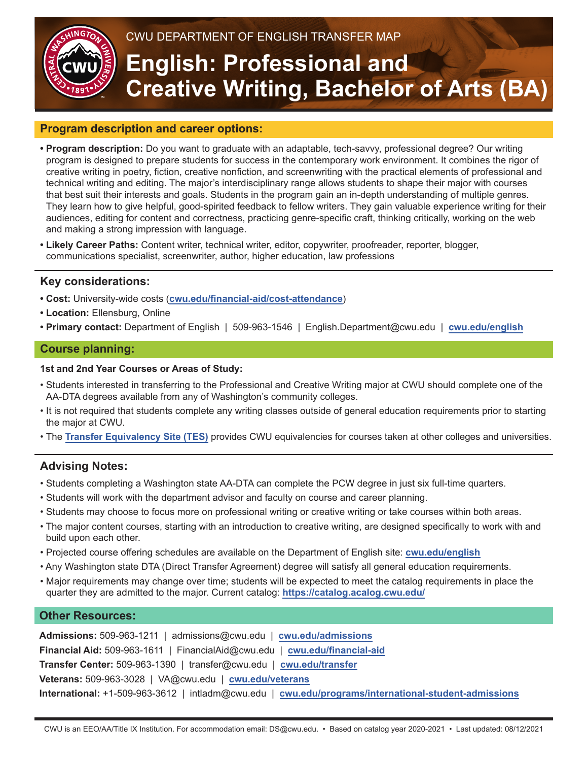

# CWU DEPARTMENT OF ENGLISH TRANSFER MAP

# **English: Professional and Creative Writing, Bachelor of Arts (BA)**

### **Program description and career options:**

- **Program description:** Do you want to graduate with an adaptable, tech-savvy, professional degree? Our writing program is designed to prepare students for success in the contemporary work environment. It combines the rigor of creative writing in poetry, fiction, creative nonfiction, and screenwriting with the practical elements of professional and technical writing and editing. The major's interdisciplinary range allows students to shape their major with courses that best suit their interests and goals. Students in the program gain an in-depth understanding of multiple genres. They learn how to give helpful, good-spirited feedback to fellow writers. They gain valuable experience writing for their audiences, editing for content and correctness, practicing genre-specific craft, thinking critically, working on the web and making a strong impression with language.
- **Likely Career Paths:** Content writer, technical writer, editor, copywriter, proofreader, reporter, blogger, communications specialist, screenwriter, author, higher education, law professions

### **Key considerations:**

- **Cost:** University-wide costs (**[cwu.edu/financial-aid/cost-attendance](http://cwu.edu/financial-aid/cost-attendance)**)
- **Location:** Ellensburg, Online
- **Primary contact:** Department of English | 509-963-1546 | English.Department@cwu.edu | **[cwu.edu/](http://www.cwu.edu/english)english**

#### **Course planning:**

#### **1st and 2nd Year Courses or Areas of Study:**

- Students interested in transferring to the Professional and Creative Writing major at CWU should complete one of the AA-DTA degrees available from any of Washington's community colleges.
- It is not required that students complete any writing classes outside of general education requirements prior to starting the major at CWU.
- The **[Transfer Equivalency Site \(TES\)](https://tes.collegesource.com/publicview/TES_publicview01.aspx?rid=%7B747074CC-9C4D-477D-980B-529C4D6F9712%7D&aid=%7B1DE28702-DD7E-46F7-820F-7E0F873F2507%7D)** provides CWU equivalencies for courses taken at other colleges and universities.

# **Advising Notes:**

- Students completing a Washington state AA-DTA can complete the PCW degree in just six full-time quarters.
- Students will work with the department advisor and faculty on course and career planning.
- Students may choose to focus more on professional writing or creative writing or take courses within both areas.
- The major content courses, starting with an introduction to creative writing, are designed specifically to work with and build upon each other.
- Projected course offering schedules are available on the Department of English site: **[cwu.edu/](http://www.cwu.edu/english)english**
- Any Washington state DTA (Direct Transfer Agreement) degree will satisfy all general education requirements.
- Major requirements may change over time; students will be expected to meet the catalog requirements in place the quarter they are admitted to the major. Current catalog: **<https://catalog.acalog.cwu.edu/>**

#### **Other Resources:**

**Admissions:** 509-963-1211 | admissions@cwu.edu | **[cwu.edu/admissions](http://www.cwu.edu/admissions) Financial Aid:** 509-963-1611 | FinancialAid@cwu.edu | **[cwu.edu/financial-aid](http://www.cwu.edu/financial-aid) Transfer Center:** 509-963-1390 | transfer@cwu.edu | **[cwu.edu/transfer](http://www.cwu.edu/transfer) Veterans:** 509-963-3028 | VA@cwu.edu | **[cwu.edu/veterans](http://www.cwu.edu/veterans) International:** +1-509-963-3612 | intladm@cwu.edu | **[cwu.edu/programs/international-student-admissions](http://www.cwu.edu/programs/international-student-admissions)**